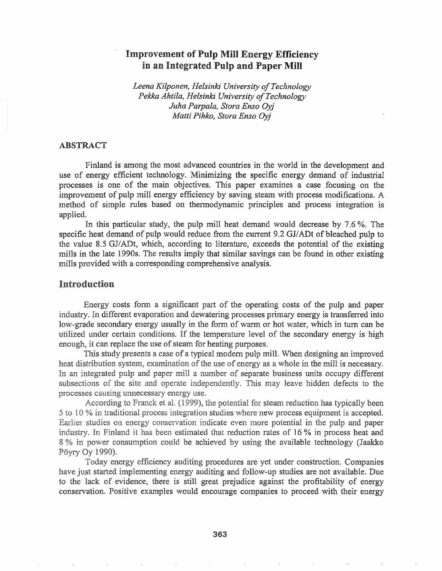# Improvement of Pulp Mill Energy Efficiency in an Integrated Pulp and Paper Mill

*Leena Kilponen, Helsinki University o/Technology Pekka Ahtila, Helsinki University ofTechnology Juha Parpala, Stora Enso Oyj Matti Pihko, Stora Enso Oyj*

#### ABSTRACT

Finland is among the most advanced countries in the world in the development and use of energy efficient technology. Minimizing the specific energy demand of industrial processes is one of the main objectives& This paper examines a case focusing on the improvement of pulp mill energy efficiency by saving steam with process modifications~ A method of simple rules based on thermodynamic principles and process integration is applied.

In this particular study, the pulp mill heat demand would decrease by  $7.6\%$ . The specific heat demand of pulp would reduce from the current 9.2 GJ/ADt of bleached pulp to the value 8.5 GJ/ADt, which, according to literature, exceeds the potential of the existing mills in the late 1990s. The results imply that similar savings can be found in other existing mills provided with a corresponding comprehensive analysis.

## Introduction

Energy costs form a significant part of the operating costs of the pulp and paper industry. In different evaporation and dewatering processes primary energy is transferred into low-grade secondary energy usually in the form of warm or hot water, which in turn can be utilized under certain conditions. If the temperature level of the secondary energy is high enough, it can replace the use of steam for heating purposes.

This study presents a case of a typical modern pulp mill. When designing an improved heat distribution system, examination of the use of energy as a whole in the mill is necessary. In an integrated pulp and paper mill a number of separate business units occupy different subsections of the site and operate independently. This may leave hidden defects to the processes causing unnecessary energy use.

According to Franck et al. (1999), the potential for steam reduction has typically been 5 to 10 % in traditional process integration studies where new process equipment is accepted. Earlier studies on energy conservation indicate even more potential in the pulp and paper industry. In Finland it has been estimated that reduction rates of 16 % in process heat and 8 % in power consumption could be achieved by using the available technology (Jaakko Pöyry Oy 1990).

Today energy efficiency auditing procedures are yet under construction. Companies have just started implementing energy auditing and follow-up studies are not available. Due to the lack of evidence, there is still great prejudice against the profitability of energy conservation. Positive examples would encourage companies to proceed with their energy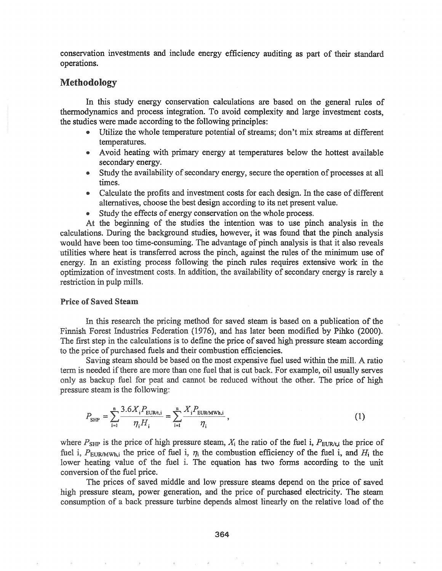conservation investments and include energy efficiency auditing as part of their standard operations.

## Methodology

In this study energy conservation calculations are based on the general rules of thermodynamics and process integration. To avoid complexity and large investment costs, the studies were made according to the following principles:

- Utilize the whole temperature potential of streams; don't mix streams at different temperatures.
- Avoid heating with primary energy at temperatures below the hottest available secondary energy.
- Study the availability of secondary energy, secure the operation of processes at all times.
- Calculate the profits and investment costs for each design. In the case of different alternatives, choose the best design according to its net present value.
- Study the effects of energy conservation on the whole process.

At the beginning of the studies the intention was to use pinch analysis in the calculations. During the background studies, however, it was found that the pinch analysis would have been too time-consuming. The advantage of pinch analysis is that it also reveals utilities where heat is transferred across the pinch, against the rules of the minimum use of energy. In an existing process following the pinch rules requires extensive work in the optimization of investment costs. In addition, the availability of secondary energy is rarely a restriction in pulp mills.

#### **Price of Saved Steam**

In this research the pricing method for saved steam is based on a publication of the Finnish Forest Industries Federation (1976), and has later been modified by Pihko (2000). The first step in the calculations is to define the price of saved high pressure steam according to the price of purchased fuels and their combustion efficiencies.

Saving steam should be based on the most expensive fuel used within the mill. A ratio term is needed ifthere are more than one fuel that is cut back. For example, oil usually serves only as backup fuel for peat and cannot be reduced without the other. The price of high pressure steam is the following:

$$
P_{\text{SHP}} = \sum_{i=1}^{n} \frac{3.6X_i P_{\text{EUR}/t,i}}{\eta_i H_i} = \sum_{i=1}^{n} \frac{X_i P_{\text{EUR/MWh},i}}{\eta_i},
$$
(1)

where  $P_{\text{SHP}}$  is the price of high pressure steam,  $X_i$  the ratio of the fuel i,  $P_{\text{EUR/L}}$  the price of fuel i,  $P_{\text{EURMWh,i}}$  the price of fuel i,  $\eta_i$  the combustion efficiency of the fuel i, and  $H_i$  the lower heating value of the fuel i. The equation has two forms according to the unit conversion of the fuel price.

The prices of saved middle and low pressure steams depend on the price of saved high pressure steam, power generation, and the price of purchased electricity. The steam consumption of a back pressure turbine depends almost linearly on the relative load of the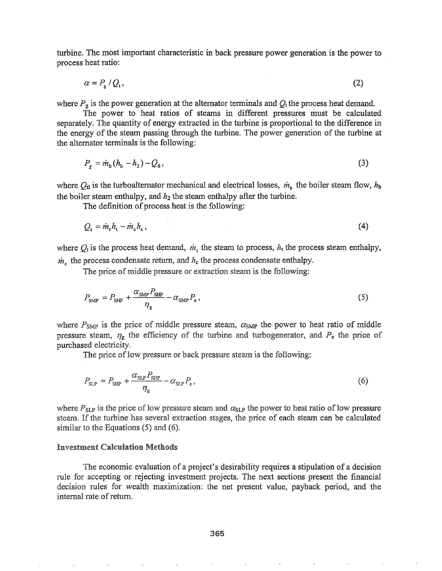turbine. The most important characteristic in back pressure power generation is the power to process heat ratio:

$$
\alpha = P_{\rm g} / Q_{\rm t}, \tag{2}
$$

where  $P_g$  is the power generation at the alternator terminals and  $Q_t$  the process heat demand.

The power to heat ratios of steams in different pressures must be calculated separately. The quantity of energy extracted in the turbine is proportional to the difference in the energy of the steam passing through the turbine. The power generation of the turbine at the alternator terminals is the following:

$$
P_{\rm g} = \dot{m}_{\rm b} (h_{\rm b} - h_2) - Q_{\rm d},\tag{3}
$$

where  $Q_{tl}$  is the turboalternator mechanical and electrical losses,  $\dot{m}_b$  the boiler steam flow,  $h_b$ the boiler steam enthalpy, and  $h_2$  the steam enthalpy after the turbine.

The definition of process heat is the following:

$$
Q_t = \dot{m}_t h_t - \dot{m}_c h_c, \tag{4}
$$

where  $Q_t$  is the process heat demand,  $\dot{m}_t$  the steam to process,  $h_t$  the process steam enthalpy,  $\dot{m}_c$  the process condensate return, and  $h_c$  the process condensate enthalpy.

The price of middle pressure or extraction steam is the following:

$$
P_{\text{SMP}} = P_{\text{SHP}} + \frac{\alpha_{\text{SMP}} P_{\text{SHP}}}{\eta_{\text{g}}} - \alpha_{\text{SMP}} P_{\text{e}} \,, \tag{5}
$$

power to heat ratio of middle pressure steam,  $\eta_{g}$  the efficiency of the turbine and turbogenerator, and  $P_{e}$  the price of purchased electricity.

The price of low pressure or back pressure steam is the following:

$$
P_{\text{SLP}} = P_{\text{SHP}} + \frac{\alpha_{\text{SLP}} P_{\text{SHP}}}{\eta_{\text{g}}} - \alpha_{\text{SLP}} P_{\text{e}}\,,\tag{6}
$$

where  $P_{SLP}$  is the price of low pressure steam and  $\alpha_{SLP}$  the power to heat ratio of low pressure steam. If the turbine has several extraction stages, the price of each steam can be calculated similar to the Equations  $(5)$  and  $(6)$ .

#### **Investment Calculation Methods**

The economic evaluation of a project's desirability requires a stipulation of a decision rule for accepting or rejecting investment projects. The next sections present the financial decision rules for wealth maximization: the net present value, payback period, and the internal rate of return.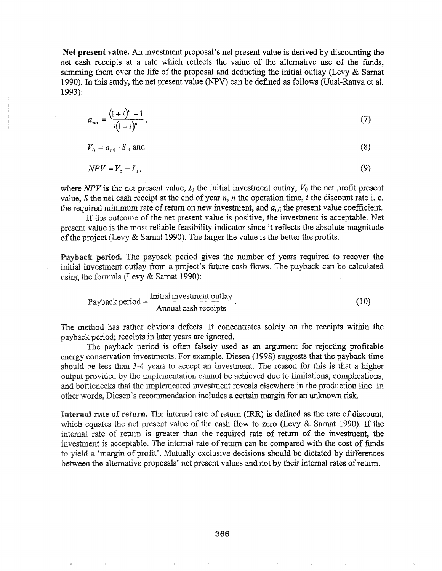Net present value. An investment proposal's net present value is derived by discounting the net cash receipts at a rate which reflects the value of the alternative use of the funds, summing them over the life of the proposal and deducting the initial outlay (Levy  $& Samat$ 1990). In this study, the net present value (NPV) can be defined as follows (Uusi-Rauva et al. 1993):

$$
a_{n'i} = \frac{(1+i)^n - 1}{i(1+i)^n},\tag{7}
$$

$$
V_0 = a_{n'i} \cdot S \text{ , and } \tag{8}
$$

$$
NPV = V_0 - I_0,\tag{9}
$$

where  $NPV$  is the net present value,  $I_0$  the initial investment outlay,  $V_0$  the net profit present value, S the net cash receipt at the end of year  $n$ ,  $n$  the operation time,  $i$  the discount rate i. e. the required minimum rate of return on new investment, and  $a_{n/i}$  the present value coefficient.

If the outcome of the net present value is positive, the investment is acceptable. Net present value is the most reliable feasibility indicator since it reflects the absolute magnitude of the project (Levy  $\&$  Sarnat 1990). The larger the value is the better the profits.

Payback period. The payback period gives the number of years required to recover the initial investment outlay from a project's future cash flows. The payback can be calculated using the formula (Levy & Sarnat 1990):

Payback period = 
$$
\frac{\text{Initial investment outlay}}{\text{Annual cash receipts}}.
$$
 (10)

The method has rather obvious defects. It concentrates solely on the receipts within the payback period; receipts in later years are ignored.

The payback period is often falsely used as an argument for rejecting profitable energy conservation investments. For example, Diesen (1998) suggests that the payback time should be less than 3-4 years to accept an investment. The reason for this is that a higher output provided by the implementation cannot be achieved due to limitations, complications, and bottlenecks that the implemented investment reveals elsewhere in the production line. In other words, Diesen's recommendation includes a certain margin for an unknown risk.

Internal rate of return. The internal rate of return (IRR) is defined as the rate of discount, which equates the net present value of the cash flow to zero (Levy  $\&$  Sarnat 1990). If the internal rate of return is greater than the required rate of return of the investment, the investment is acceptable. The internal rate of return can be compared with the cost of funds to yield a 'margin of profit'. Mutually exclusive decisions should be dictated by differences between the alternative proposals' net present values and not by their internal rates of return.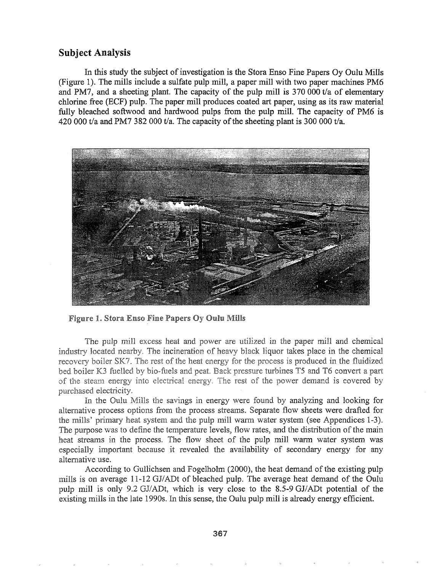# Subject Analysis

In this study the subject of investigation is the Stora Enso Fine Papers Oy Oulu Mills (Figure 1). The mills include a sulfate pulp mill, a paper mill with two paper machines PM6 and PM?, and a sheeting plant. The capacity of the pulp mill is 370 **000** t/a of elementary chlorine free (ECF) pulp. The paper mill produces coated art paper, using as its raw material fully bleached softwood and hardwood pulps from the pulp mill. The capacity of PM6 is 420 000 t/a and PM7 382 000 t/a. The capacity of the sheeting plant is 300 000 t/a.



**Figure 1. Stora Enso Fine Papers Oy Oulu Mills** 

The pulp mill excess heat and power are utilized in the paper mill and chemical industry located nearby. The incineration of heavy black liquor takes place in the chemical recovery boiler SK7. The rest of the heat energy for the process is produced in the fluidized bed boiler K3 fuelled by bio-fuels and peat. Back pressure turbines T5 and T6 convert a part of the steam energy into electrical energy. The rest of the power demand is covered by purchased electricity.

In the Oulu Mills the savings in energy were found by analyzing and looking for alternative process options from the process streams. Separate flow sheets were drafted for the mills' primary heat system and the pulp mill warm water system (see Appendices 1-3). The purpose was to define the temperature levels, flow rates, and the distribution of the main heat streams in the process. The flow sheet of the pulp mill warm water system was especially important because it revealed the availability of secondary energy for any alternative use.

According to Gullichsen and Fogelholm (2000), the heat demand of the existing pulp mills is on average 11-12 GJ/ADt of bleached pulp. The average heat demand of the Quiu pulp mill is only 9.2 GJ/ADt, which is very close to the 8.5-9 GJ/ADt potential of the existing mills in the late 1990s. In this sense, the Qulu pulp mill is already energy efficient.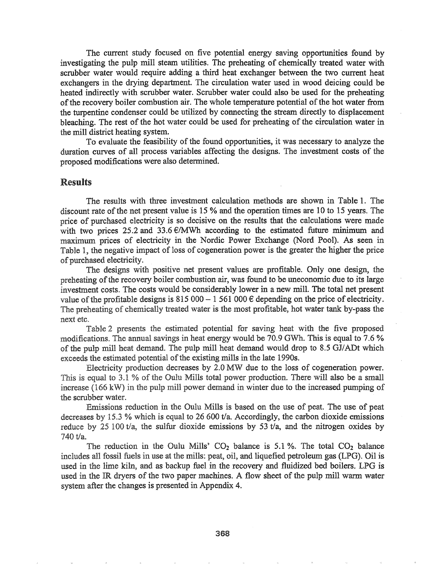The current study focused on five potential energy saving opportunities found by investigating the pulp mill steam utilities. The preheating of chemically treated water with scrubber water would require adding a third heat exchanger between the two current heat exchangers in the drying department. The circulation water used in wood deicing could be heated indirectly with scrubber water. Scrubber water could also be used for the preheating of the recovery boiler combustion air. The whole temperature potential of the hot water from the turpentine condenser could be utilized by connecting the stream directly to displacement bleaching. The rest of the hot water could be used for preheating of the circulation water in the mill district heating system.

To evaluate the feasibility of the found opportunities, it was necessary to analyze the duration curves of all process variables affecting the designs. The investment costs of the proposed modifications were also determined.

#### Results

The results with three investment calculation methods are shown in Table 1. The discount rate of the net present value is 15 % and the operation times are 10 to 15 years. The price of purchased electricity is so decisive on the results that the calculations were made with two prices 25.2 and 33.6  $\epsilon$ /MWh according to the estimated future minimum and maximum prices of electricity in the Nordic Power Exchange (Nord Pool). As seen in Table 1, the negative impact of loss of cogeneration power is the greater the higher the price of purchased electricity.

The designs with positive net present values are profitable. Only one design, the preheating of the recovery boiler combustion air, was found to be uneconomic due to its large investment costs. The costs would be considerably lower in a new mill. The total net present value of the profitable designs is  $815\,000 - 1\,561\,000 \,\epsilon$  depending on the price of electricity. The preheating of chemically treated water is the most profitable, hot water tank by-pass the next etc.

Table 2 presents the estimated potential for saving heat with the five proposed modifications. The annual savings in heat energy would be 70.9 GWh. This is equal to 7.6 % of the pulp mill heat demand. The pulp mill heat demand would drop to 8.5 GJ/ADt which exceeds the estimated potential of the existing mills in the late 1990s.

Electricity production decreases by 2.0 MW due to the loss of cogeneration power. This is equal to 3.1 % of the Oulu Mills total power production. There will also be a small increase (166 kW) in the pulp mill power demand in winter due to the increased pumping of the scrubber water.

Emissions reduction in the Quiu Mills is based on the use of peat. The use of peat decreases by 15.3 % which is equal to 26 600 t/a. Accordingly, the carbon dioxide emissions reduce by 25 100 t/a, the sulfur dioxide emissions by 53 t/a, and the nitrogen oxides by 740 t/a.

The reduction in the Oulu Mills'  $CO<sub>2</sub>$  balance is 5.1%. The total  $CO<sub>2</sub>$  balance includes all fossil fuels in use at the mills: peat, oil, and liquefied petroleum gas (LPG). Oil is used in the lime kiln, and as backup fuel in the recovery and fluidized bed boilers. LPG is used in the IR dryers of the two paper machines. A flow sheet of the pulp mill warm water system after the changes is presented in Appendix 4.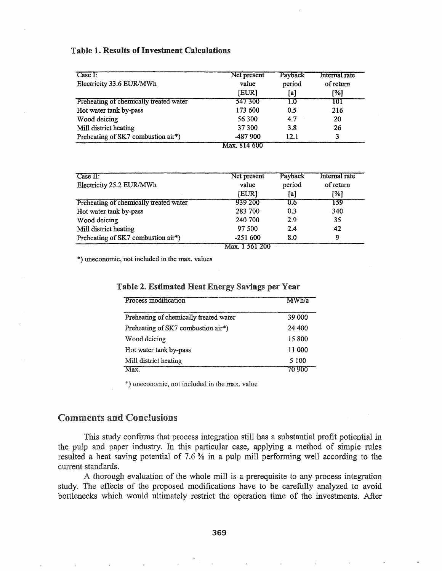### Table 1. Results of Investment Calculations

| Case I:<br>Electricity 33.6 EUR/MWh    | Net present<br>value<br>[EUR]        | Payback<br>period<br>[a] | Internal rate<br>of return<br>[%] |
|----------------------------------------|--------------------------------------|--------------------------|-----------------------------------|
| Preheating of chemically treated water | 547 300                              | LO.                      | 101                               |
| Hot water tank by-pass                 | 173 600                              | 0.5                      | 216                               |
| Wood deicing                           | 56 300                               | 4.7                      | 20                                |
| Mill district heating                  | 37 300                               | 3.8                      | 26                                |
| Preheating of SK7 combustion air*)     | -487 900<br>$\overline{\mathcal{L}}$ | 12 1                     |                                   |

Max. 814 600

| Case II:                               | Net present    | Payback | Internal rate |
|----------------------------------------|----------------|---------|---------------|
| Electricity 25.2 EUR/MWh               | value          | period  | of return     |
|                                        | <b>IEURI</b>   | [a]     | [%]           |
| Preheating of chemically treated water | 939 200        | 0.6     | 139           |
| Hot water tank by-pass                 | 283 700        | 0.3     | 340           |
| Wood deicing                           | 240 700        | 29      | 35            |
| Mill district heating                  | 97 500         | 2.4     | 42            |
| Preheating of SK7 combustion air*)     | $-251600$      | 8.0     | 9             |
|                                        | Max. 1 561 200 |         |               |

\*) uneconomic, not included in the max. values

| Process modification                   | WWh/a  |
|----------------------------------------|--------|
| Preheating of chemically treated water | 39.000 |
| Preheating of SK7 combustion air*)     | 24 400 |
| Wood deicing                           | 15 800 |
| Hot water tank by-pass                 | 11 000 |
| Mill district heating                  | 5 100  |
|                                        |        |

#### Table 2. Estimated Heat Energy Savings per Year

\*) uneconomic, not included in the max. value

# **Comments and Conclusions**

This study confirms that process integration still has a substantial profit potiential in the pulp and paper industry. In this particular case, applying a method of simple rules resulted a heat saving potential of 7.6 % in a pulp mill performing well according to the current standards.

A thorough evaluation of the whole mill is a prerequisite to any process integration study. The effects of the proposed modifications have to be carefully analyzed to avoid bottlenecks which would ultimately restrict the operation time of the investments. After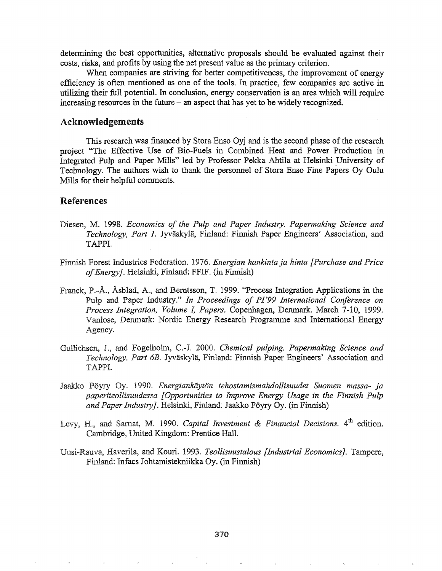determining the best opportunities, alternative proposals should be evaluated against their costs, risks, and profits by using the net present value as the primary criterion.

When companies are striving for better competitiveness, the improvement of energy efficiency is often mentioned as one of the tools. In practice, few companies are active in utilizing their full potential. In conclusion, energy conservation is an area which will require increasing resources in the future - an aspect that has yet to be widely recognized.

#### Acknowledgements

This research was financed by Stora Enso Oyj and is the second phase of the research project "The Effective Use of Bio-Fuels in Combined Heat and Power Production in Integrated Pulp and Paper Mills" led by Professor Pekka Ahtila at Helsinki University of Technology. The authors wish to thank the personnel of Stora Enso Fine Papers Oy Quiu Mills for their helpful comments.

#### References

- Diesen, M.. 1998. *Economics of the Pulp and Paper Industry. Papermaking Science and Technology, Part* 1. Jyvaskyla, Finland: Finnish Paper Engineers' Association, and TAPPI.
- Finnish Forest Industries Federation. 1976. *Energian hankinta ja hinta [Purchase and Price of Energy]*. Helsinki, Finland: FFIF. (in Finnish)
- Franck, P.-Å., Åsblad, A., and Berntsson, T. 1999. "Process Integration Applications in the Pulp and Paper Industry." *In Proceedings of P/'99 International Conference on Process Integration, Volume* L *Papers.* Copenhagen, Denmark. March 7-10, 1999. Vanlose, Denmark: Nordic Energy Research Programme and International Energy Agency.
- and Fogelholm, 2000. *Chemical pulping. Papermaking Science and Technology, Part 6B.* Jyvaskyla, Finland: Finnish Paper Engineers' Association and TAPPI.
- *1990. Energiankiiyton tehostamismahdollisuudet Suomen massa- ja paperiteollisuudessa [Opportunities to Improve Energy Usage in the Finnish Pulp and Paper Industry}.* Helsinki, Finland: Jaakko Poyry Oy. (in Finnish)
- Levy, H., and Sarnat, M. 1990. *Capital Investment & Financial Decisions*. 4<sup>th</sup> edition. Cambridge, United Kingdom: Prentice Hall.
- Haverila, and Kouri. 1993& *Teollisuustalous [Industrial Economics}.* Tampere, Finland: Infacs Johtamistekniikka Oy. (in Finnish)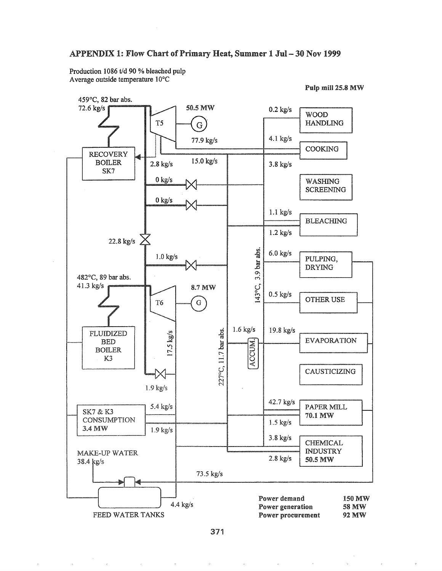#### APPENDIX 1: Flow Chart of Primary Heat, Summer 1 Jul - 30 Nov 1999

Production 1086 t/d 90 % bleached pulp Average outside temperature 10°C

Pulp mill 25.8 MW



371

 $\phi$ 

 $\hat{\theta}$ 

 $\hat{\phi}$ 

 $\bar{b}$ 

 $\hat{c}_i$ 

 $\bar{q}$ 

 $\langle \rho \rangle$ 

 $\bar{\mathcal{A}}$ 

 $\bar{b}$ 

 $\gamma_{\rm i}$ 

 $\mu$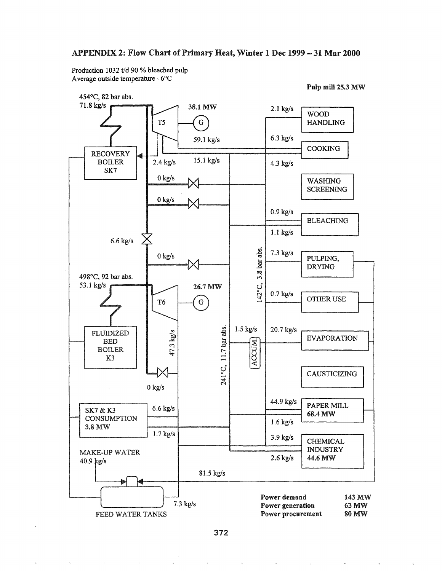#### APPENDIX 2: Flow Chart of Primary Heat, Winter 1 Dec 1999 - 31 Mar 2000

Production 1032 t/d 90 % bleached pulp Average outside temperature -6°C

Pulp mill 25.3 MW



372

 $\bar{\phi}$ 

 $\hat{\theta}$ 

 $\hat{\boldsymbol{x}}$ 

 $\gamma_{\rm e}$ 

 $\hat{\theta}$ 

 $\eta$ 

 $\mathbf{A}$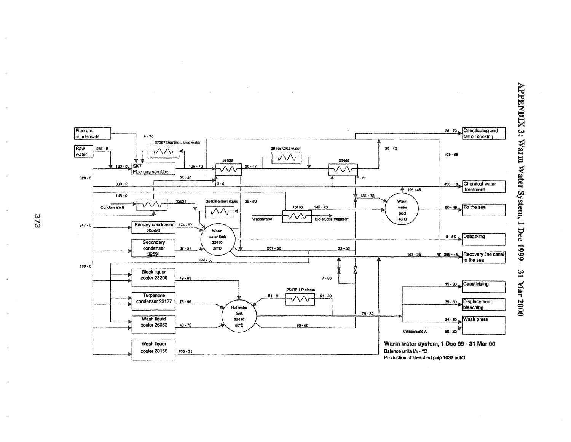

APPENDIX 3: Warm Water System, 1 Dec 1999 --31 Mar 2000

373